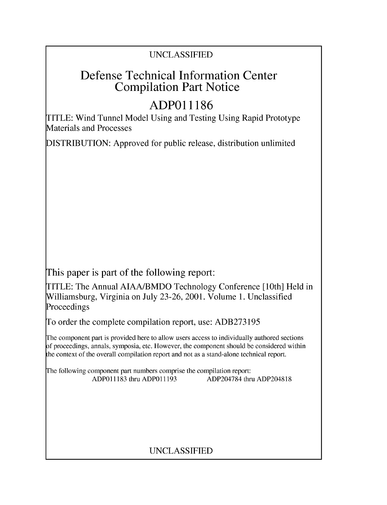# Defense Technical Information Center Compilation Part Notice

# **ADPO1 1186**

TITLE: Wind Tunnel Model Using and Testing Using Rapid Prototype Materials and Processes

DISTRIBUTION: Approved for public release, distribution unlimited

This paper is part of the following report:

TITLE: The Annual AIAA/BMDO Technology Conference [10th] Held in Williamsburg, Virginia on July 23-26, 2001. Volume 1. Unclassified Proceedings

To order the complete compilation report, use: ADB273195

The component part is provided here to allow users access to individually authored sections f proceedings, annals, symposia, etc. However, the component should be considered within [he context of the overall compilation report and not as a stand-alone technical report.

The following component part numbers comprise the compilation report: ADPO11183 thru ADPO11193 ADP204784 thru ADP204818

## UNCLASSIFIED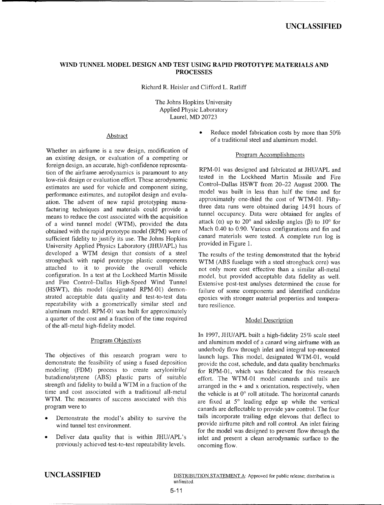### WIND **TUNNEL** MODEL **DESIGN AND TEST USING** RAPID PROTOTYPE MATERIALS **AND PROCESSES**

Richard R. Heisler and Clifford L. Ratliff

The Johns Hopkins University Applied Physic Laboratory Laurel, MD 20723

Whether an airframe is a new design, modification of<br> **Example 2018** Program Accomplishments<br> **Zy** Program Accomplishments an existing design, or evaluation of a competing or foreign design, an accurate, high-confidence representa- RPM-01 was designed and fabricated at **JHU/APL** and tion of the airframe aerodynamics is paramount to any tested in the Lockheed Martin Missile and Fire<br>Law sight decise as suclustics offert These conclusions tested in the Lockheed Martin Missile and Fire low-risk design or evaluation effort. These aerodynamic tested in the Lockheed Martin Missile and Fire estimates are used for vehicle and component sizing,<br>noted was built in less than half the time and for performance estimates, and autopilot design and evalu-<br>approximately one-third the cost of WTM-01. Fifty-<br>performance estimate of new regid protetining means ation. The advent of new rapid prototyping manu-<br>facturing techniques and materials could provide a three data runs were obtained during 14.91 hours of means to reduce the cost associated with the acquisition of a wind tunnel model (WTM), provided the data attack  $(\alpha)$  up to 20° and sideslip angles  $(\beta)$  to 10° for obtained with the rapid prototupe model (PDM) were of Mach 0.40 to 0.90. Various configurations and fin and obtained with the rapid prototype model (RPM) were of Mach 0.40 to 0.90. Various configurations and fin and outforcing the United States of Mach 0.40 to 0.90. Various configurations and fin and entity its use. The Johns Ho sufficient fidelity to justify its use. The Johns Hopkins canard materials were tested. This example  $\frac{1}{2}$  complete  $\frac{1}{2}$  complete  $\frac{1}{2}$  complete  $\frac{1}{2}$  complete  $\frac{1}{2}$  complete  $\frac{1}{2}$  complete  $\frac{1}{$ University Applied Physics Laboratory (JHU/APL) has developed a WTM design that consists of a steel The results of the testing demonstrated that the hybrid strongback with rapid prototype plastic components WTM (ABS fuselage with a steel strongback core) was attached to it to provide the overall vehicle not only more cost effective than a similar all-metal configuration. In a test at the Lockheed Martin Missile model, but provided acceptable data fidelity as well. and Fire Control-Dallas High-Speed Wind Tunnel Extensive post-test analyses determined the cause for (HSWT), this model (designated RPM-01) demon- failure of some components and identified candidate strated acceptable data quality and test-to-test data epoxies with stronger material properties and temperarepeatability with a geometrically similar steel and  $\frac{1}{\text{ture residue}}$ aluminum model. RPM-01 was built for approximately a quarter of the cost and a fraction of the time required Model Description of the all-metal high-fidelity model.

The objectives of this research program were to launch lugs. This model, designated WTM-01, would demonstrate the feasibility of using a fused deposition provide the cost, schedule, and data quality benchmarks modeling (FDM) process to create acrylonitrile/ for RPM-01, which was fabricated for this research butadiene/styrene (ABS) plastic parts of suitable effort. The WTM-01 model canards and tails are strength and fidelity to build a WTM in a fraction of the arranged in the  $+$  and x orientation, respectively, when time and cost associated with a traditional all-metal the vehicle is at  $0^{\circ}$  roll attitude. The horizontal canards WTM. The measures of success associated with this are fixed at 5<sup>o</sup> leading edge up while the vertical

- 
- previously achieved test-to-test repeatability levels. oncoming flow.

Abstract **Reduce model fabrication costs by more than 50%** of a traditional steel and aluminum model.

tunnel occupancy. Data were obtained for angles of

not only more cost effective than a similar all-metal

In 1997, JHU/APL built a high-fidelity 25% scale steel Program Objectives and aluminum model of a canard wing airframe with an underbody flow through inlet and integral top-mounted program were to canards are deflectable to provide yaw control. The four Demonstrate the model's ability to survive the tails incorporate trailing edge elevons that deflect to provide airframe pitch and roll control. An inlet fairing wind tunnel test environment. provide airframe pitch and roll control. An inlet fairing wind tunnel test environment. Deliver data quality that is within JHU/APL's inlet and present a clean aerodynamic surface to the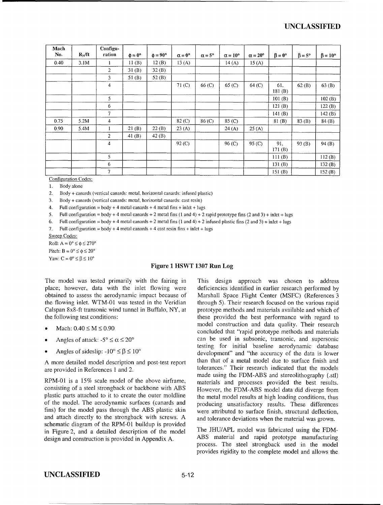| Mach<br>No. | $R_N$ /ft | Configu-<br>ration       | $\phi = 0^{\circ}$ | $\phi = 90^{\circ}$ | $\alpha = 0^{\circ}$ | $\alpha = 5^{\circ}$ | $\alpha = 10^{\circ}$ | $\alpha = 20^{\circ}$ | $\beta = 0^{\circ}$ | $\beta = 5^{\circ}$ | $\beta = 10^{\circ}$ |
|-------------|-----------|--------------------------|--------------------|---------------------|----------------------|----------------------|-----------------------|-----------------------|---------------------|---------------------|----------------------|
| 0.40        | 3.1M      | 1                        | 11(B)              | 12(B)               | 13(A)                |                      | 14(A)                 | 15(A)                 |                     |                     |                      |
|             |           | $\overline{c}$           | 31(B)              | 32(B)               |                      |                      |                       |                       |                     |                     |                      |
|             |           | 3                        | 51 $(B)$           | 52 $(B)$            |                      |                      |                       |                       |                     |                     |                      |
|             |           | $\overline{4}$           |                    |                     | 71 <sub>(C)</sub>    | 66 (C)               | 65 (C)                | 64 (C)                | 61,<br>181 $(B)$    | 62(B)               | 63(B)                |
|             |           | 5                        |                    |                     |                      |                      |                       |                       | 101(B)              |                     | 102(B)               |
|             |           | 6                        |                    |                     |                      |                      |                       |                       | 121(B)              |                     | 122(B)               |
|             |           | $\overline{7}$           |                    |                     |                      |                      |                       |                       | 141 $(B)$           |                     | 142 $(B)$            |
| 0.75        | 5.2M      | 4                        |                    |                     | 82 <sub>(C)</sub>    | 86 (C)               | 85 (C)                |                       | 81(B)               | 83(B)               | 84(B)                |
| 0.90        | 5.4M      |                          | 21(B)              | 22(B)               | 23(A)                |                      | 24(A)                 | 25(A)                 |                     |                     |                      |
|             |           | 2                        | 41 $(B)$           | 42(B)               |                      |                      |                       |                       |                     |                     |                      |
|             |           | 4                        |                    |                     | 92 (C)               |                      | 96 (C)                | 95 (C)                | 91,<br>171(B)       | 93(B)               | 94(B)                |
|             |           | 5                        |                    |                     |                      |                      |                       |                       | 111 $(B)$           |                     | 112(B)               |
|             |           | 6                        |                    |                     |                      |                      |                       |                       | 131 $(B)$           |                     | 132 $(B)$            |
|             |           | $\overline{\phantom{a}}$ |                    |                     |                      |                      |                       |                       | 151 $(B)$           |                     | 152 $(B)$            |

Configuration Codes:

1. Body alone

2. Body **+** canards (vertical canards: metal, horizontal canards: infused plastic)

3. Body **+** canards (vertical canards: metal, horizontal canards: cast resin)

4. Full configuration  $=$  body  $+$  4 metal canards  $+$  4 metal fins  $+$  inlet  $+$  lugs

5. Full configuration = body **+** 4 metal canards **+** 2 metal fins (1 and 4) **+** 2 rapid prototype fins (2 and 3) **+** inlet **+** lugs

6. Full configuration = body **+** 4 metal canards **+** 2 metal fins (1 and 4) **+** 2 infused plastic fins (2 and 3) **+** inlet **+** lugs

7. Full configuration =  $body + 4$  metal canards  $+ 4$  cast resin fins  $+$  inlet  $+$  lugs

Sweep Codes:

Roll:  $A = 0^\circ \le \phi \le 270^\circ$ Pitch:  $B = 0^\circ \le \phi \le 20^\circ$ Yaw:  $C = 0^\circ \leq \beta \leq 10^\circ$ 

### Figure **1** HSWT **1307** Run Log

The model was tested primarily with the fairing in This design approach was chosen to address place; however, data with the inlet flowing were deficiencies identified in earlier research performed by obtained to assess the aerodynamic impact because of Marshall Space Flight Center (MSFC) (References 3 Calspan 8x8-ft transonic wind tunnel in Buffalo, NY, at prototype methods and materials available and which of

- 
- 
- 

are provided in References 1 and 2.

consisting of a steel strongback or backbone with ABS However, the FDM-ABS model data did diverge from plastic parts attached to it to create the outer moldline the metal model results at high loading conditions, thus of the model. The aerodynamic surfaces (canards and producing unsatisfactory results. These differences fins) for the model pass through the ABS plastic skin were attributed to surface finish, structural deflection, and attach directly to the strongback with screws. A and tolerance deviations when the material was grown. schematic diagram of the RPM-01 buildup is provided in Figure 2, and a detailed description of the model The JHU/APL model was fabricated using the FDM-<br>design and construction is provided in Appendix A<br>ABS material and rapid prototype manufacturing design and construction is provided in Appendix A.

the flowing inlet. WTM-01 was tested in the Veridian through 5). Their research focused on the various rapid the following test conditions: these provided the best performance with regard to  $\text{Mach: } 0.40 \leq M \leq 0.90$  model construction and data quality. Their research concluded that "rapid prototype methods and materials Angles of attack:  $-5^{\circ} \le \alpha \le 20^{\circ}$  can be used in subsonic, transonic, and supersonic testing for initial baseline aerodynamic database<br>Angles of sideslip:  $-10^{\circ} \le \beta \le 10^{\circ}$  evelopment" and "the accuracy of the development" and "the accuracy of the data is lower **<sup>A</sup>**more detailed model description and post-test report than that of a metal model due to surface finish and are provided in References **I** and 2, tolerances." Their research indicated that the models made using the FDM-ABS and stereolithography (.stl) RPM-01 is a 15% scale model of the above airframe, materials and processes provided the best results.

> process. The steel strongback used in the model provides rigidity to the complete model and allows the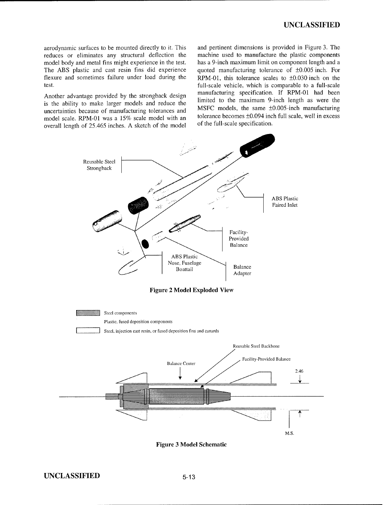aerodynamic surfaces to be mounted directly to it. This and pertinent dimensions is provided in Figure 3. The reduces or eliminates any structural deflection the machine used to manufacture the plastic components reduces or eliminates any structural deflection the machine used to manufacture the plastic components model body and metal fins might experience in the test. has a 9-inch maximum limit on component length and a model body and metal fins might experience in the test.<br>The ABS plastic and cast resin fins did experience The ABS plastic and cast resin fins did experience quoted manufacturing tolerance of  $\pm 0.005$  inch. For flexure and sometimes failure under load during the RPM-01, this tolerance scales to  $\pm 0.030$  inch on the

is the ability to make larger models and reduce the limited to the maximum 9-inch length as were the uncortaining because of manufacturing tolerances and MSFC models, the same  $\pm 0.005$ -inch manufacturing uncertainties because of manufacturing tolerances and MSFC models, the same  $\pm 0.005$ -inch manufacturing model scale. PDM 01 was a 15% scale model with an tolerance becomes  $\pm 0.094$  inch full scale, well in excess model scale. RPM-01 was a 15% scale model with an tolerance becomes  $\pm 0.094$  incorrectly length of  $25.465$  inches A sketch of the model of the full-scale specification. overall length of  $25.465$  inches. A sketch of the model

RPM-01, this tolerance scales to  $\pm 0.030$  inch on the test. full-scale vehicle, which is comparable to a full-scale Another advantage provided by the strongback design<br>is the shilling to make legacy models and reduce the limited to the maximum 9-inch length as were the



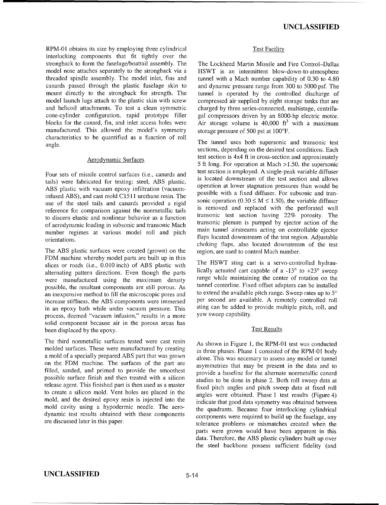RPM-01 obtains its size by employing three cylindrical Test Facility interlocking components that fit tightly over the strongback to form the fuselage/boattail assembly. The strongback to form the fuselage/boattail assembly. The The Lockheed Martin Missile and Fire Control-Dallas model nose attaches separately to the strongback via a HSWT is an intermittent blow-down-to-atmosphere model nose attaches separately to the strongback via a HSWT is an intermittent blow-down-to-atmosphere threaded spindle assembly. The model inlet, fins and tunnel with a Mach number capability of 0.30 to 4.80 canards passed through the plastic fuselage skin to mount directly to the strong back for strength. The mount directly to the strongback for strength. The tunnel is operated by the controlled discharge of model launch lugs attach to the plastic skin with screw compressed air supplied by eight storage tanks that are and helicoil attachments. To test a clean symmetric cone-cylinder configuration, rapid prototype filler blocks for the canard, fin, and inlet access holes were Air storage volume is  $40,000$  ft<sup>3</sup> manufactured. This allowed the model's symmetry storage pressure of 500 psi at 100°F. manufactured. This allowed the model's symmetry characteristics to be quantified as a function of roll characteristics to be quantified as a function of roll and the tunnel uses both supersonic and transonic test angle.

tails) were fabricated for testing: steel, ABS plastic, ABS plastic with vacuum epoxy infiltration (vacuum-<br>infined ABS) and get mald  $G1511$  unthang regin The possible with a fixed diffuser. For subsonic and traninfused ABS), and cast mold C1511 urethane resin. The possible with a fixed diffuser. For subsonic and tran-<br>we of the steal tails and canards provided a rigid sonic operation  $(0.30 \le M \le 1.50)$ , the variable diffuser use of the steel tails and canards provided a rigid sonic operation (0.30  $\leq M \leq 1.50$ ), the variable diffuser reference for comparison equipst the permetallic tails is removed and replaced with the perforated wall reference for comparison against the nonmetallic tails is removed and replaced with the perforated wall<br>transonic test section having 22% porosity. The to discern elastic and nonlinear behavior as a function<br>of aerodynamic loading in subsonic and transonic Mach<br>transonic plenum is pumped by ejector action of the or accognation coating in subsolie and transome main tunnel airstreams acting on controllable ejector<br>number regimes at various model roll and pitch<br>riaps located downstream of the test region. Adjustable

The ABS plastic surfaces were created (grown) on the region, are used to control Mach number. FDM machine whereby model parts are built up in thin slices or roads (i.e., 0.010 inch) of ABS plastic with The HSWT sting cart is a servo-controlled hydrau-<br>alternating pattern directions. Even though the parts lically actuated cart capable of a -13° to +23° sweep alternating pattern directions. Even though the parts lically actuated cart capable of a **-13'** to +23' sweep were manufactured using the maximum density range while maintaining the center of rotation on the nossible the resultant components are still porous  $A_s$  tunnel centerline. Fixed offset adapters can be installed possible, the resultant components are still porous. As tunnel centerline. Fixed offset adapters can be installed<br>an inexpensive method to fill the microscopic pores and to extend the available pitch range. Sweep rates up an inexpensive method to fill the microscopic pores and to extend the available pitch range. Sweep rates up to **5'** increase stiffness, the ABS components were immersed per second are available. A remotely controlled roll<br>in an enoxy bath while under vacuum pressure. This sting can be added to provide multiple pitch, roll, and in an epoxy bath while under vacuum pressure. This sting can be added to process deemed "vacuum infusion" results in a more yaw sweep capability. process, deemed "vacuum infusion," results in a more solid component because air in the porous areas has been displaced by the epoxy. Test Results

The third nonmetallic surfaces tested were cast resin As shown in Figure 1, the RPM-01 test was conducted molded surfaces. These were manufactured by creating in three phases. Phase 1 consisted of the RPM-01 body a mold of a specially prepared ABS part that was grown alone. This was necessary to assess any model or tunnel on the FDM machine. The surfaces of the part are asymmetries that may be present in the data and to filled, sanded, and primed to provide the smoothest provide a baseline for the alternate nonmetallic canard possible surface finish and then treated with a silicon studies to be done in phase 2. Both roll sweep data at release agent. This finished part is then used as a master fixed pitch angles and pitch sweep data at fixed roll to create a silicon mold. Vent holes are placed in the angles were obtained. Phase 1 test results (Figure 4) mold, and the desired epoxy resin is injected into the indicate that good data symmetry was obtained between mold cavity using a hypodermic needle. The aero-<br>the quadrants. Because four interlocking cylindrical dynamic test results obtained with these components components were required to build up the fuselage, any

tunnel with a Mach number capability of  $0.30$  to  $4.80$  and dynamic pressure range from  $300$  to 5000 psf. The compressed air supplied by eight storage tanks that are charged by three series-connected, multistage, centrifugal compressors driven by an 8000-hp electric motor.<br>Air storage volume is  $40,000$  ft<sup>3</sup> with a maximum

sections, depending on the desired test conditions. Each Aerodynamic Surfaces test section is 4x4 ft in cross-section and approximately 5 ft long. For operation at Mach >1.50, the supersonic test section is employed. A single-peak variable diffuser Four sets of missile control surfaces (i.e., canards and test section is employed. A single-peak variable diffuser Four extends for test fished and allows is located downstream of the test section and allows orientations. flaps located downstream of the test region. Adjustable<br>choking flaps, also located downstream of the test

are discussed later in this paper.<br>tolerance problems or mismatches created when the parts were grown would have been apparent in this data. Therefore, the ABS plastic cylinders built up over the steel backbone possess sufficient fidelity (and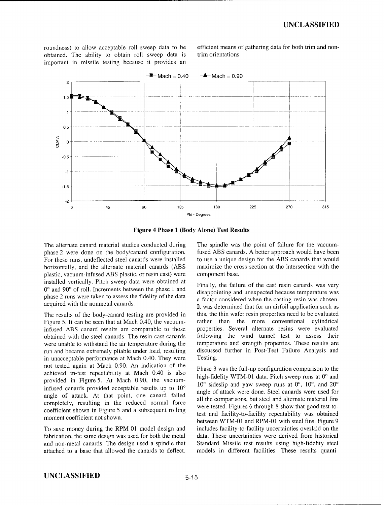obtained. The ability to obtain roll sweep data is trim orientations. important in missile testing because it provides an

roundness) to allow acceptable roll sweep data to be efficient means of gathering data for both trim and non-



Figure 4 Phase **1** (Body Alone) Test Results

phase 2 were done on the body/canard configuration. fused ABS canards. A better approach would have been<br>For these runs, undeflected steel canards were installed to use a unique design for the ABS canards that would For these runs, undeflected steel canards were installed to use a unique design for the ABS canards that would horizontally, and the alternate material canards (ABS maximize the cross-section at the intersection with the horizontally, and the alternate material canards (ABS plastic, vacuum-infused ABS plastic, or resin cast) were component base. installed vertically. Pitch sweep data were obtained at Finally, the failure of the cast resin canards was very 0° and 90° of roll. Increments between the phase 1 and disappointing and unexpected because temperature was phase 2 runs were taken to assess the fidelity of the data a factor considered when the casting resin was chosen.<br>a factor considered when the casting resin was chosen.

Figure 5. It can be seen that at Mach 0.40, the vacuum-<br>
infused ABS canard results are comparable to those properties. Several alternate resins were evaluated infused ABS canard results are comparable to those properties. Several alternate resins were evaluated obtained with the steel canards. The resin cast canards following the wind tunnel test to assess their were unable to withstand the air temperature during the temperature and strength properties. These results are run and became extremely pliable under load, resulting discussed further in Post-Test Failure Analysis and run and became extremely pliable under load, resulting in unacceptable performance at Mach 0.40. They were Testing. not tested again at Mach 0.90. An indication of the Phase 3 was the full-up configuration comparison to the achieved in-test repeatability at Mach 0.40 is also high-fidelity WTM-01 data. Pitch sweep runs at 0<sup>o</sup> and provided in Figure 5. At Mach 0.90, the vacuuminfused canards provided acceptable results up to  $10^{\circ}$   $10^{\circ}$  sideslip and yaw sweep runs at  $0^{\circ}$ ,  $10^{\circ}$ , and  $20^{\circ}$  angles of attack were done. Steel canards were used for angle of attack. At that point, one canard failed all the comparisons, but steel and alternate material fins completely, resulting in the reduced normal force coefficient shown in Figure 5 and a subsequent rolling were rested. Figures 6 unough 6 show that good test-to-<br>test and facility-to-facility repeatability was obtained

fabrication, the same design was used for both the metal data. These uncertainties were derived from historical and non-metal canards. The design used a spindle that Standard Missile test results using high-fidelity steel attached to a base that allowed the canards to deflect. models in different facilities. These results quanti-

The alternate canard material studies conducted during The spindle was the point of failure for the vacuum-<br>phase 2 were done on the body/canard configuration. fused ABS canards. A better approach would have been

It was determined that for an airfoil application such as The results of the body-canard testing are provided in this, the thin wafer resin properties need to be evaluated Figure 5. It can be seen that at Mach 0.40, the vacuum-<br>
rather than the more conventional cylindrical

were tested. Figures 6 through 8 show that good test-tomoment coefficient not shown.<br>between WTM-01 and RPM-01 with steel fins. Figure 9 To save money during the RPM-01 model design and includes facility-to-facility uncertainties overlaid on the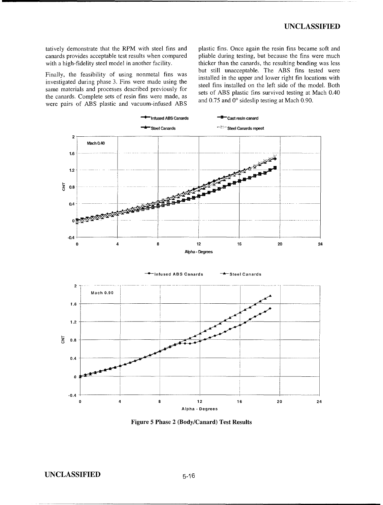tatively demonstrate that the RPM with steel fins and plastic fins. Once again the resin fins became soft and canards provides acceptable test results when compared pliable during testing, but because the fins were much with a high-fidelity steel model in another facility. thicker than the canards, the resulting bending was less

investigated during phase 3. Fins were made using the steel fins installed on the left side of the model. Both same materials and processes described previously for sets of ABS plastic fins survived testing at Mach 0.40 the canards. Complete sets of resin fins were made, as and 0.75 and 0° sideslip testing at Mach 0.90. were pairs of ABS plastic and vacuum-infused ABS

but still unacceptable. The ABS fins tested were Finally, the feasibility of using nonmetal fins was but still unacceptable. The ABS fins tested were installed in the upper and lower right fin locations with



Figure 5 Phase 2 (Body/Canard) Test Results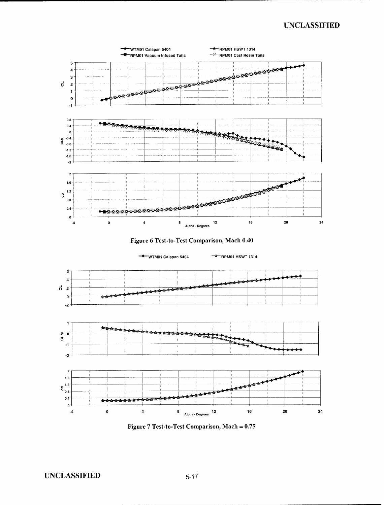





Figure **7** Test-to-Test Comparison, Mach **=0.75**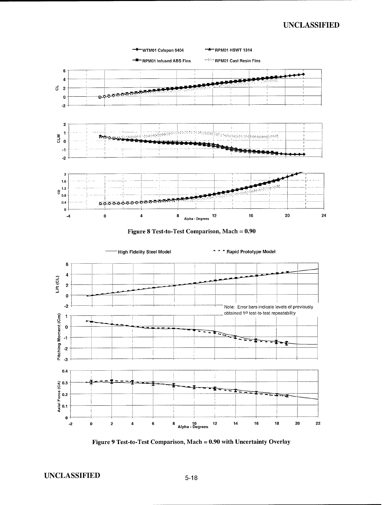

**UNCLASSIFIED**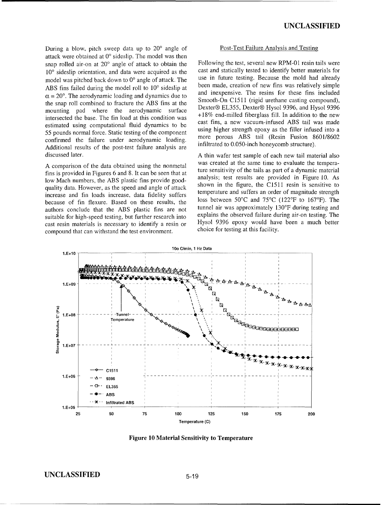During a blow, pitch sweep data up to 20<sup>o</sup> angle of Post-Test Failure Analysis and Testing attack were obtained at  $0^{\circ}$  sideslip. The model was then snap rolled air-on at  $20^{\circ}$  angle of attack to obtain the Following the test, several new RPM-01 resin tails were<br>10° sideslin orientation and data were acquired as the cast and statically tested to identify better mat 10<sup>o</sup> sideslip orientation, and data were acquired as the cast and statically tested to identify better materials for model was pitched back down to 0<sup>o</sup> angle of attack. The use in future testing. Because the mold had alr model was pitched back down to 0° angle of attack. The use in future testing. Because the mold had already<br>ABS fins failed during the model roll to 10° sideslin at been made, creation of new fins was relatively simple ABS fins failed during the model roll to 10° sideslip at been made, creation of new fins was relatively simple  $\alpha = 20^\circ$ . The aerodynamic loading and dynamics due to and inexpensive. The resins for these fins included  $\alpha = 20^{\circ}$ . The aerodynamic loading and dynamics due to<br>the snap roll combined to fracture the ABS fins at the<br>mounting pad where the aerodynamic surface<br>intersected the base. The fin load at this condition was<br>estimate 55 pounds normal force. Static testing of the component<br>confirmed the failure under aerodynamic loading.<br>Additional results of the post test failure analysis are<br>additional results of the post test failure analysis are<br>add Additional results of the post-test failure analysis are

fins is provided in Figures 6 and 8. It can be seen that at ture sensitivity of the tails as part of a dynamic material low Mach numbers, the ABS plastic fins provide good-<br>analysis; test results are provided in Figure 10. As<br>shown in the figure, the C1511 resin is sensitive to quality data. However, as the speed and angle of attack shown in the figure, the C1511 resin is sensitive to temperature and suffers an order of magnitude strength increase and fin loads increase, data fidelity suffers because of fin flexure. Based on these results, the loss between 50°C and 75°C (122°F to 167°F). The authors conclude that the ARS plastic fins are not tunnel air was approximately 130°F during testing and authors conclude that the ABS plastic fins are not<br>suitable for high-speed testing but further research into<br>explains the observed failure during air-on testing. The suitable for high-speed testing, but further research into cast resin materials is necessary to identify a resin or Hysol 9396 epoxy would have been a much better compound that can withstand the test environment compound that can withstand the test environment.

discussed later. A thin wafer test sample of each new tail material also A comparison of the data obtained using the nonmetal was created at the same time to evaluate the tempera-



**Figure 10 Material Sensitivity to Temperature**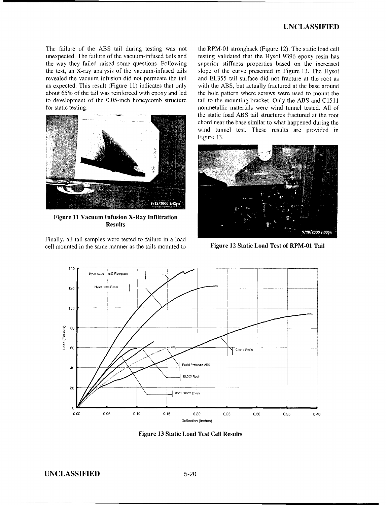The failure of the ABS tail during testing was not the RPM-01 strongback (Figure 12). The static load cell unexpected. The failure of the vacuum-infused tails and testing validated that the Hysol 9396 epoxy resin has to development of the 0.05-inch honeycomb structure



Figure **11** Vacuum Infusion X-Ray Infiltration Results

Finally, all tail samples were tested to failure in a load cell mounted in the same manner as the tails mounted to Figure 12 Static Load Test of RPM-01 Tail

unexpected. The failure of the vacuum-infused tails and testing validated that the Hysol 9396 epoxy resin has the way they failed raised some questions. Following superior stiffness properties based on the increased the way they failed raised some questions. Following superior stiffness properties based on the increased the test, an X-ray analysis of the vacuum-infused tails slope of the curve presented in Figure 13. The Hysol slope of the curve presented in Figure 13. The Hysol revealed the vacuum infusion did not permeate the tail and EL355 tail surface did not fracture at the root as as expected. This result (Figure 11) indicates that only with the ABS, but actually fractured at the base around about 65% of the tail was reinforced with epoxy and led the hole pattern where screws were used to mount the the hole pattern where screws were used to mount the tail to the mounting bracket. Only the ABS and C1511 for static testing. nonmetallic materials were wind tunnel tested. All of the static load ABS tail structures fractured at the root chord near the base similar to what happened during the wind tunnel test. These results are provided in Figure 13.





Figure **13** Static Load Test Cell Results

**UNCLASSIFIED 5-20**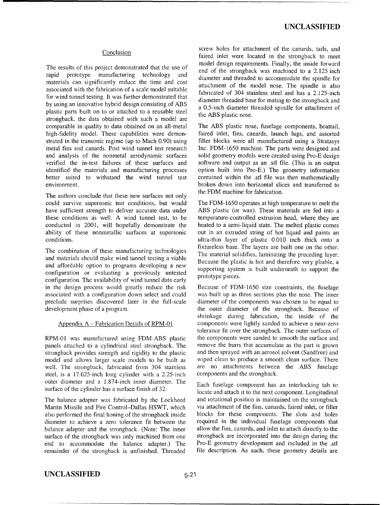### Conclusion

The results of the results of the strongback was machined to a 2.125 inch<br>rapid prototype manufacturing technology and diameter and threaded to accommodate the spindle for materials can significantly reduce the time and cost attachment of the model nose. The spindle is also associated with the fabrication of a scale model suitable fabricated of 304 stainless steel and has a 2.125-inch for wind tunnel testing. It was further demonstrated that diameter threaded base for mating to the strongback and by using an innovative hybrid design consisting of ABS a 0.5-inch diameter threaded spindle for attachment of plastic parts built on to or attached to a reusable steel the ABS plastic nose. strongback, the data obtained with such a model are comparable in quality to data obtained on an all-metal The ABS plastic nose, fuselage components, boattail, high-fidelity model. These capabilities were demon-faired inlet, fins, canards, launch lugs, and assorted high-fidelity model. These capabilities were demon-<br>strated inlet, fins, canards, launch lugs, and assorted<br>strated in the transonic regime (up to Mach 0.90) using<br>filler blocks were all manufactured using a Stratasys strated in the transonic regime (up to Mach 0.90) using filler blocks were all manufactured using a Stratasys metal fins and canards. Post wind tunnel test research Inc. FDM-1650 machine. The parts were designed and metal fins and canards. Post wind tunnel test research Inc. FDM-1650 machine. The parts were designed and and analysis of the nonmetal aerodynamic surfaces solid geometry models were created using Pro-E design and analysis of the nonmetal aerodynamic surfaces solid geometry models were created using Pro-E design verified the in-test failures of these surfaces and software and output as an stl file. (This is an output identified the materials and manufacturing processes option built into Pro-E.) The geometry information better suited to withstand the wind tunnel test contained within the stl file was then mathematically better suited to withstand the wind tunnel test

The authors conclude that these new surfaces not only could survive supersonic test conditions, but would The FDM-1650 operates at high temperature to melt the have sufficient strength to deliver accurate data under ABS plastic (or wax). These materials are fed into a have sufficient strength to deliver accurate data under ABS plastic (or wax). These materials are fed into a these conditions as well. A wind tunnel test, to be temperature-controlled extrusion head, where they are conducted in 2001, will hopefully demonstrate the heated to a semi-liquid state. The melted plastic comes ability of these nonmetallic surfaces at supersonic out in an extruded string of hot liquid and paints an

The combination of these manufacturing technologies<br>and materials should make wind tunnel testing a viable<br>Because the plastic is hot and therefore very pliable, a<br>and offendable, and therefore very pliable, a and affordable option to programs developing a new configuration or evaluating a previously untested prototype pieces. configuration. The availability of wind tunnel data early<br>in the design process would greatly reduce the risk associated with a configuration down select and could was built up as three sections plus the nose. The inner preclude surprises discovered later in the full-scale diameter of the components was chosen to be equal to development phase of a program. The outer diameter of the strongback. Because of

panels attached to a cylindrical steel strongback. The strongback provides strength and rigidity to the plastic and then sprayed with an aerosol solvent (Sandfree) and model and allows larger scale models to be built as wiped clean to produce a smooth clean surface. There well. The strongback, fabricated from 304 stainless are no attachments between the ABS fuselage steel is a 17.625-inch long cylinder with a 2.25-inch components and the strongback. steel, is a  $17.625$ -inch long cylinder with a  $2.25$ -inch outer diameter and a 1.874-inch inner diameter. The Each fuselage component has an interlocking tab to

Martin Missile and Fire Control-Dallas HSWT, which via attachment of the fins, canards, faired inlet, or filler also performed the final honing of the strongback inside blocks for these components. The slots and holes diameter to achieve a zero tolerance fit between the required in the individual fuselage components that balance adapter and the strongback. (Note: The inner allow the fins, canards, and inlet to attach directly to the surface of the strongback was only machined from one strongback are incorporated into the design during the end to accommodate the balance adapter.) The Pro-E geometry development and included in the .stl remainder of the strongback is unfinished. Threaded file description. As such, these geometry details are

screw holes for attachment of the canards, tails, and faired inlet were located in the strongback to meet The results of this project demonstrated that the use of and of the strongback was machined to a 2.125 inch incomponents. Finally, the inside forward

software and output as an .stl file. (This is an output environment.<br>
broken down into horizontal slices and transferred to<br>
the FDM machine for fabrication.

temperature-controlled extrusion head, where they are conditions. ultra-thin layer of plastic 0.010 inch thick onto a fixtureless base. The layers are built one on the other.

Because of FDM-1650 size constraints, the fuselage shrinkage during fabrication, the inside of the Appendix A - Fabrication Details of RPM-01 components were lightly sanded to achieve a near-zero tolerance fit over the strongback. The outer surfaces of RPM-01 was manufactured using FDM-ABS plastic the components were sanded to smooth the surface and panels attached to a cylindrical steel strongback. The remove the burrs that accumulate as the part is grown

surface of the cylinder has a surface finish of 32. locate and attach it to the next component. Longitudinal The balance adapter was fabricated by the Lockheed and rotational position is maintained on the strongback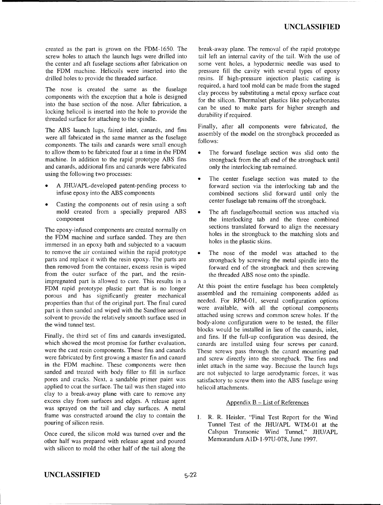screw holes to attach the launch lugs were drilled into the center and aft fuselage sections after fabrication on the FDM machine. Helicoils were inserted into the drilled holes to provide the threaded surface. The resins. If high-pressure injection plastic casting is

The nose is created the same as the fuselage clay process by substituting a metal epoxy surface coat components with the exception that a hole is designed for the silicon. Thermalset plastics like polycarbonates into the base section of the nose. After fabrication, a locking helicoil is inserted into the hole to provide the threaded surface for attaching to the spindle.

were all fabricated in the same manner as the fuselage follows: components. The tails and canards were small enough to allow them to be fabricated four at a time in the FDM  $\bullet$  The forward fuselage section was slid onto the machine. In addition to the rapid prototype ABS fins strongback from the aft end of the strongback until and canards, additional fins and canards were fabricated only the interlocking tab remained. using the following two processes:<br>
• The center fuselage section was mated to the

- 
- Casting the components out of resin using a soft center fuselage tab remains off the strongback. mold created from a specially prepared ABS • The aft fuselage/boattail section was attached via

the FDM machine and surface sanded. They are then holes in the strongback to the matching slots and holes in the plastic skins. immersed in an epoxy bath and subjected to a vacuum to remove the air contained within the rapid prototype  $\bullet$  The nose of the model was attached to the parts and replace it with the resin epoxy. The parts are strongback by screwing the metal spindle into the then removed from the container, excess resin is wiped forward end of the strongback and then screwing from the outer surface of the part, and the resin-<br>the threaded ABS nose onto the spindle. impregnated part is allowed to cure. This results in a FDM rapid prototype plastic part that is no longer<br>protous and has significantly greater mechanical assembled and the remaining components added as porous and has significantly greater mechanical assembled and the remaining components added as<br>properties than that of the original part. The final cured needed. For RPM-01, several configuration options properties than that of the original part. The final cured needed. For RPM-01, several configuration options part is then canded and wined with the Sandfree agrosol part is then sanded and wiped with the Sandfree aerosol were available, with all the optional components equally expected at the sand common screw holes. If the previous results attached using screws and common screw holes solvent to provide the relatively smooth surface used in the wind tunnel test.<br>the wind tunnel test.

which showed the most promise for further evaluation, canards are installed using four screws per canard. were the cast resin components. These fins and canards These screws pass through the canard mounting pad were fabricated by first growing a master fin and canard and screw directly into the strongback. The fins and in the FDM machine. These components were then inlet attach in the same way. Because the launch lugs sanded and treated with body filler to fill in surface are not subjected to large aerodynamic forces, it was pores and cracks. Next, a sandable primer paint was satisfactory to screw them into the ABS fuselage using applied to coat the surface. The tail was then staged into helicoil attachments. clay to a break-away plane with care to remove any excess clay from surfaces and edges. A release agent  $\triangle$  Appendix B - List of References was sprayed on the tail and clay surfaces. A metal frame was constructed around the clay to contain the **I.** R. R. Heisler, "Final Test Report for the Wind

other half was prepared with release agent and poured with silicon to mold the other half of the tail along the

created as the part is grown on the FDM-1650. The break-away plane. The removal of the rapid prototype screw holes to attach the launch lugs were drilled into tail left an internal cavity of the tail. With the use of some vent holes, a hypodermic needle was used to pressure fill the cavity with several types of epoxy The nose is created the same as the fuselage required, a hard tool mold can be made from the staged can be used to make parts for higher strength and durability if required.

The **ABS** launch lugs, faired inlet, canards, and fins Finally, after all components were fabricated, the assembly of the model on the strongback proceeded as

- 
- A JHU/APL-developed patent-pending process to forward section via the interlocking tab and the infuse epoxy into the ABS components combined sections slid forward until only the
- component the interlocking tab and the three combined The epoxy-infused components are created normally on sections translated forward to align the necessary
	-

blocks would be installed in lieu of the canards, inlet, Finally, the third set of fins and canards investigated, and fins. If the full-up configuration was desired, the

pouring of silicon resin.<br>Tunnel Test of the JHU/APL WTM-01 at the Once cured, the silicon mold was turned over and the Calspan Transonic Wind Tunnel," JHU/APL<br>other half was prepared with release agent and poured Memorandum A1D-1-97U-078, June 1997.